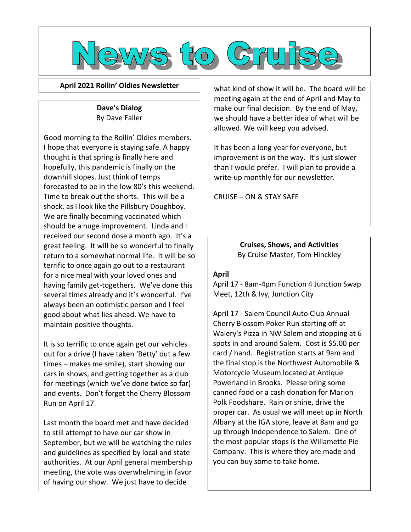

**April 2021 Rollin' Oldies Newsletter**

## **Dave's Dialog** By Dave Faller

Good morning to the Rollin' Oldies members. I hope that everyone is staying safe. A happy thought is that spring is finally here and hopefully, this pandemic is finally on the downhill slopes. Just think of temps forecasted to be in the low 80's this weekend. Time to break out the shorts. This will be a shock, as I look like the Pillsbury Doughboy. We are finally becoming vaccinated which should be a huge improvement. Linda and I received our second dose a month ago. It's a great feeling. It will be so wonderful to finally return to a somewhat normal life. It will be so terrific to once again go out to a restaurant for a nice meal with your loved ones and having family get-togethers. We've done this several times already and it's wonderful. I've always been an optimistic person and I feel good about what lies ahead. We have to maintain positive thoughts.

It is so terrific to once again get our vehicles out for a drive (I have taken 'Betty' out a few times – makes me smile), start showing our cars in shows, and getting together as a club for meetings (which we've done twice so far) and events. Don't forget the Cherry Blossom Run on April 17.

Last month the board met and have decided to still attempt to have our car show in September, but we will be watching the rules and guidelines as specified by local and state authorities. At our April general membership meeting, the vote was overwhelming in favor of having our show. We just have to decide

what kind of show it will be. The board will be meeting again at the end of April and May to make our final decision. By the end of May, we should have a better idea of what will be allowed. We will keep you advised.

It has been a long year for everyone, but improvement is on the way. It's just slower than I would prefer. I will plan to provide a write-up monthly for our newsletter.

CRUISE – ON & STAY SAFE

**Cruises, Shows, and Activities** By Cruise Master, Tom Hinckley

# **April**

April 17 - 8am-4pm Function 4 Junction Swap Meet, 12th & Ivy, Junction City

April 17 - Salem Council Auto Club Annual Cherry Blossom Poker Run starting off at Walery's Pizza in NW Salem and stopping at 6 spots in and around Salem. Cost is \$5.00 per card / hand. Registration starts at 9am and the final stop is the Northwest Automobile & Motorcycle Museum located at Antique Powerland in Brooks. Please bring some canned food or a cash donation for Marion Polk Foodshare. Rain or shine, drive the proper car. As usual we will meet up in North Albany at the IGA store, leave at 8am and go up through Independence to Salem. One of the most popular stops is the Willamette Pie Company. This is where they are made and you can buy some to take home.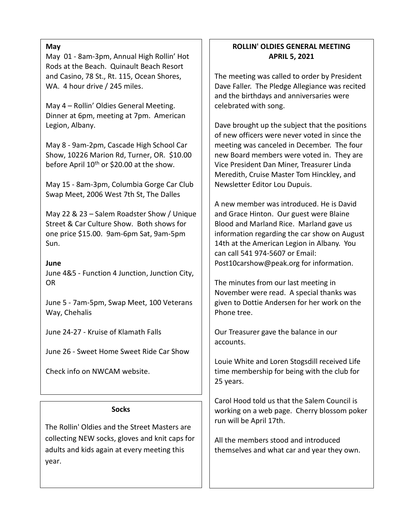### **May**

May 01 - 8am-3pm, Annual High Rollin' Hot Rods at the Beach. Quinault Beach Resort and Casino, 78 St., Rt. 115, Ocean Shores, WA. 4 hour drive / 245 miles.

May 4 – Rollin' Oldies General Meeting. Dinner at 6pm, meeting at 7pm. American Legion, Albany.

May 8 - 9am-2pm, Cascade High School Car Show, 10226 Marion Rd, Turner, OR. \$10.00 before April 10<sup>th</sup> or \$20.00 at the show.

May 15 - 8am-3pm, Columbia Gorge Car Club Swap Meet, 2006 West 7th St, The Dalles

May 22 & 23 – Salem Roadster Show / Unique Street & Car Culture Show. Both shows for one price \$15.00. 9am-6pm Sat, 9am-5pm Sun.

**June**

June 4&5 - Function 4 Junction, Junction City, OR

June 5 - 7am-5pm, Swap Meet, 100 Veterans Way, Chehalis

June 24-27 - Kruise of Klamath Falls

June 26 - Sweet Home Sweet Ride Car Show

Check info on NWCAM website.

#### **Socks**

The Rollin' Oldies and the Street Masters are collecting NEW socks, gloves and knit caps for adults and kids again at every meeting this year.

# **ROLLIN' OLDIES GENERAL MEETING APRIL 5, 2021**

The meeting was called to order by President Dave Faller. The Pledge Allegiance was recited and the birthdays and anniversaries were celebrated with song.

Dave brought up the subject that the positions of new officers were never voted in since the meeting was canceled in December. The four new Board members were voted in. They are Vice President Dan Miner, Treasurer Linda Meredith, Cruise Master Tom Hinckley, and Newsletter Editor Lou Dupuis.

A new member was introduced. He is David and Grace Hinton. Our guest were Blaine Blood and Marland Rice. Marland gave us information regarding the car show on August 14th at the American Legion in Albany. You can call 541 974-5607 or Email: [Post10carshow@peak.org](mailto:Post10carshow@peak.org) for information.

The minutes from our last meeting in November were read. A special thanks was given to Dottie Andersen for her work on the Phone tree.

Our Treasurer gave the balance in our accounts.

Louie White and Loren Stogsdill received Life time membership for being with the club for 25 years.

Carol Hood told us that the Salem Council is working on a web page. Cherry blossom poker run will be April 17th.

All the members stood and introduced themselves and what car and year they own.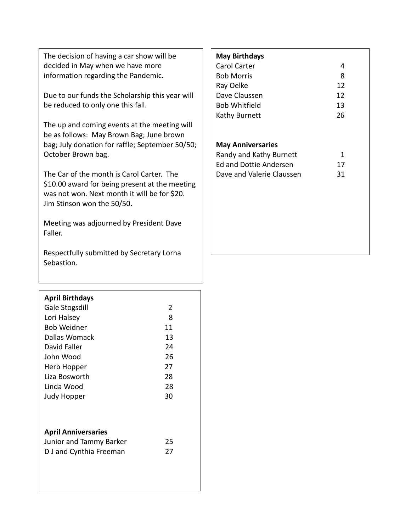The decision of having a car show will be decided in May when we have more information regarding the Pandemic.

Due to our funds the Scholarship this year will be reduced to only one this fall.

The up and coming events at the meeting will be as follows: May Brown Bag; June brown bag; July donation for raffle; September 50/50; October Brown bag.

The Car of the month is Carol Carter. The \$10.00 award for being present at the meeting was not won. Next month it will be for \$20. Jim Stinson won the 50/50.

Meeting was adjourned by President Dave Faller.

Respectfully submitted by Secretary Lorna Sebastion.

# **April Birthdays**

| Gale Stogsdill             | 2  |
|----------------------------|----|
| Lori Halsey                | 8  |
| <b>Bob Weidner</b>         | 11 |
| Dallas Womack              | 13 |
| David Faller               | 24 |
| John Wood                  | 26 |
| Herb Hopper                | 27 |
| Liza Bosworth              | 28 |
| Linda Wood                 | 28 |
| Judy Hopper                | 30 |
|                            |    |
|                            |    |
| <b>April Anniversaries</b> |    |
| Junior and Tammy Barker    | 25 |
| D J and Cynthia Freeman    | 27 |
|                            |    |
|                            |    |

### **May Birthdays**

| Carol Carter         |    |
|----------------------|----|
| <b>Bob Morris</b>    | 8  |
| Ray Oelke            | 12 |
| Dave Claussen        | 12 |
| <b>Bob Whitfield</b> | 13 |
| Kathy Burnett        | 26 |
|                      |    |

#### **May Anniversaries**

| Randy and Kathy Burnett   |    |
|---------------------------|----|
| Ed and Dottie Andersen    | 17 |
| Dave and Valerie Claussen | 31 |